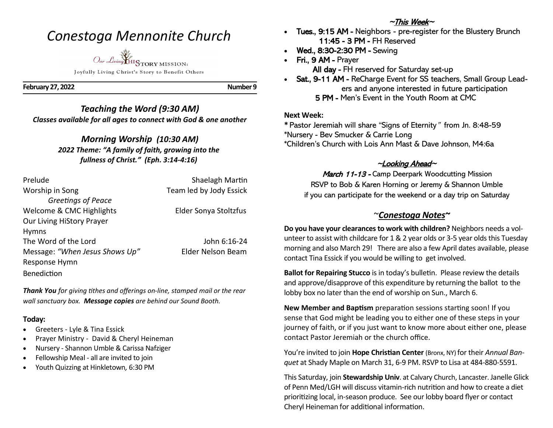# *Conestoga Mennonite Church*

*Our Living* HISTORY MISSION: Joyfully Living Christ's Story to Benefit Others

**February 27, 2022 Number 9**

# *Teaching the Word (9:30 AM) Classes available for all ages to connect with God & one another*

## *Morning Worship (10:30 AM) 2022 Theme: "A family of faith, growing into the fullness of Christ." (Eph. 3:14-4:16)*

| Prelude                        | Shaelagh Martin         |
|--------------------------------|-------------------------|
| Worship in Song                | Team led by Jody Essick |
| Greetings of Peace             |                         |
| Welcome & CMC Highlights       | Elder Sonya Stoltzfus   |
| Our Living HiStory Prayer      |                         |
| <b>Hymns</b>                   |                         |
| The Word of the Lord           | John 6:16-24            |
| Message: "When Jesus Shows Up" | Elder Nelson Beam       |
| Response Hymn                  |                         |
| <b>Benediction</b>             |                         |
|                                |                         |

*Thank You for giving tithes and offerings on-line, stamped mail or the rear wall sanctuary box. Message copies are behind our Sound Booth.*

### **Today:**

- Greeters Lyle & Tina Essick
- Prayer Ministry David & Cheryl Heineman
- Nursery Shannon Umble & Carissa Nafziger
- Fellowship Meal all are invited to join
- Youth Quizzing at Hinkletown*,* 6:30 PM

## $\sim$ This Week $\sim$

- Tues., 9:15 AM Neighbors pre-register for the Blustery Brunch 11:45 - 3 PM - FH Reserved
- Wed., 8:30-2:30 PM Sewing
- Fri., 9 AM Prayer All day - FH reserved for Saturday set-up
- Sat., 9-11 AM ReCharge Event for SS teachers, Small Group Lead ers and anyone interested in future participation 5 PM - Men's Event in the Youth Room at CMC

### **Next Week:**

**\*** Pastor Jeremiah will share "Signs of Eternity" from Jn. 8:48-59 \*Nursery - Bev Smucker & Carrie Long \*Children's Church with Lois Ann Mast & Dave Johnson, M4:6a

# $\sim$ Looking Ahead $\sim$

March 11-13 - Camp Deerpark Woodcutting Mission RSVP to Bob & Karen Horning or Jeremy & Shannon Umble if you can participate for the weekend or a day trip on Saturday

# ~*Conestoga Notes~*

**Do you have your clearances to work with children?** Neighbors needs a volunteer to assist with childcare for 1 & 2 year olds or 3-5 year olds this Tuesday morning and also March 29! There are also a few April dates available, please contact Tina Essick if you would be willing to get involved.

**Ballot for Repairing Stucco** is in today's bulletin. Please review the details and approve/disapprove of this expenditure by returning the ballot to the lobby box no later than the end of worship on Sun., March 6.

**New Member and Baptism** preparation sessions starting soon! If you sense that God might be leading you to either one of these steps in your journey of faith, or if you just want to know more about either one, please contact Pastor Jeremiah or the church office.

You're invited to join **Hope Christian Center** (Bronx, NY) for their *Annual Banquet* at Shady Maple on March 31, 6-9 PM. RSVP to Lisa at 484-880-5591.

This Saturday, join **Stewardship Univ**. at Calvary Church, Lancaster. Janelle Glick of Penn Med/LGH will discuss vitamin-rich nutrition and how to create a diet prioritizing local, in-season produce. See our lobby board flyer or contact Cheryl Heineman for additional information.